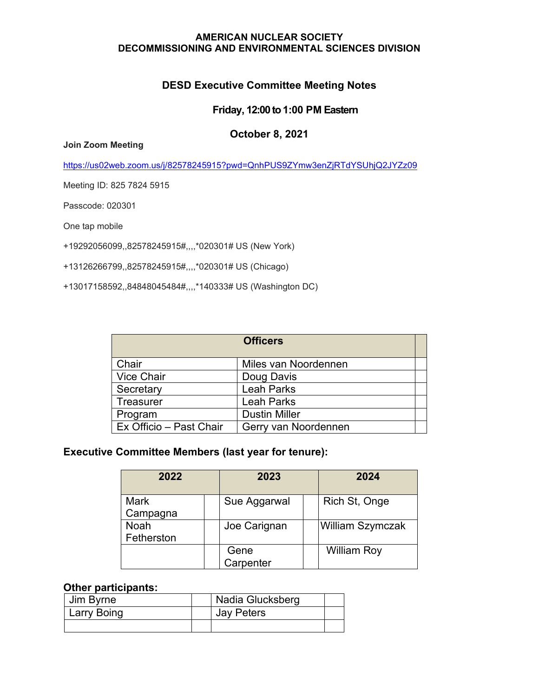#### **AMERICAN NUCLEAR SOCIETY DECOMMISSIONING AND ENVIRONMENTAL SCIENCES DIVISION**

# **DESD Executive Committee Meeting Notes**

#### **Friday, 12:00 to 1:00 PM Eastern**

#### **October 8, 2021**

**Join Zoom Meeting**

[https://us02web.zoom.us/j/82578245915?pwd=QnhPUS9ZYmw3enZjRTdYSUhjQ2JYZz09](https://protect-us.mimecast.com/s/YWjOCG6zZjfB9XYWUY1Ad2?domain=google.com)

Meeting ID: 825 7824 5915

Passcode: 020301

One tap mobile

+19292056099,,82578245915#,,,,\*020301# US (New York)

+13126266799,,82578245915#,,,,\*020301# US (Chicago)

+13017158592,,84848045484#,,,,\*140333# US (Washington DC)

|                         | <b>Officers</b>      |  |
|-------------------------|----------------------|--|
| Chair                   | Miles van Noordennen |  |
| <b>Vice Chair</b>       | Doug Davis           |  |
| Secretary               | <b>Leah Parks</b>    |  |
| <b>Treasurer</b>        | <b>Leah Parks</b>    |  |
| Program                 | <b>Dustin Miller</b> |  |
| Ex Officio - Past Chair | Gerry van Noordennen |  |

## **Executive Committee Members (last year for tenure):**

| 2022                      | 2023              | 2024               |
|---------------------------|-------------------|--------------------|
| <b>Mark</b><br>Campagna   | Sue Aggarwal      | Rich St, Onge      |
| <b>Noah</b><br>Fetherston | Joe Carignan      | William Szymczak   |
|                           | Gene<br>Carpenter | <b>William Roy</b> |

#### **Other participants:**

| Jim Byrne   | Nadia Glucksberg  |  |
|-------------|-------------------|--|
| Larry Boing | <b>Jay Peters</b> |  |
|             |                   |  |